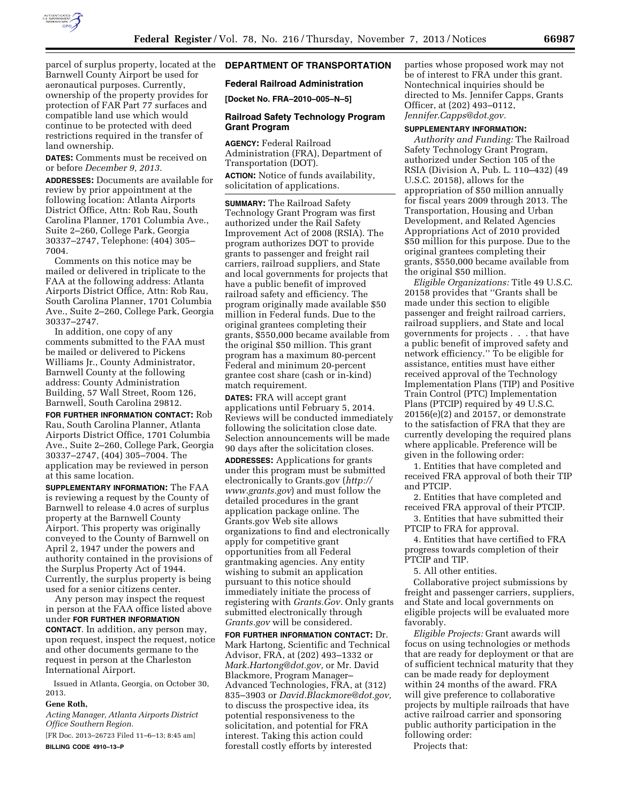

parcel of surplus property, located at the Barnwell County Airport be used for aeronautical purposes. Currently, ownership of the property provides for protection of FAR Part 77 surfaces and compatible land use which would continue to be protected with deed restrictions required in the transfer of land ownership.

**DATES:** Comments must be received on or before *December 9, 2013.* 

**ADDRESSES:** Documents are available for review by prior appointment at the following location: Atlanta Airports District Office, Attn: Rob Rau, South Carolina Planner, 1701 Columbia Ave., Suite 2–260, College Park, Georgia 30337–2747, Telephone: (404) 305– 7004.

Comments on this notice may be mailed or delivered in triplicate to the FAA at the following address: Atlanta Airports District Office, Attn: Rob Rau, South Carolina Planner, 1701 Columbia Ave., Suite 2–260, College Park, Georgia 30337–2747.

In addition, one copy of any comments submitted to the FAA must be mailed or delivered to Pickens Williams Jr., County Administrator, Barnwell County at the following address: County Administration Building, 57 Wall Street, Room 126, Barnwell, South Carolina 29812.

**FOR FURTHER INFORMATION CONTACT:** Rob Rau, South Carolina Planner, Atlanta Airports District Office, 1701 Columbia Ave., Suite 2–260, College Park, Georgia 30337–2747, (404) 305–7004. The application may be reviewed in person at this same location.

**SUPPLEMENTARY INFORMATION:** The FAA is reviewing a request by the County of Barnwell to release 4.0 acres of surplus property at the Barnwell County Airport. This property was originally conveyed to the County of Barnwell on April 2, 1947 under the powers and authority contained in the provisions of the Surplus Property Act of 1944. Currently, the surplus property is being used for a senior citizens center.

Any person may inspect the request in person at the FAA office listed above under **FOR FURTHER INFORMATION CONTACT**. In addition, any person may, upon request, inspect the request, notice and other documents germane to the request in person at the Charleston International Airport.

Issued in Atlanta, Georgia, on October 30, 2013.

## **Gene Roth,**

*Acting Manager, Atlanta Airports District Office Southern Region.* 

[FR Doc. 2013–26723 Filed 11–6–13; 8:45 am] **BILLING CODE 4910–13–P** 

# **DEPARTMENT OF TRANSPORTATION**

### **Federal Railroad Administration**

**[Docket No. FRA–2010–005–N–5]** 

## **Railroad Safety Technology Program Grant Program**

**AGENCY:** Federal Railroad Administration (FRA), Department of Transportation (DOT).

**ACTION:** Notice of funds availability, solicitation of applications.

**SUMMARY:** The Railroad Safety Technology Grant Program was first authorized under the Rail Safety Improvement Act of 2008 (RSIA). The program authorizes DOT to provide grants to passenger and freight rail carriers, railroad suppliers, and State and local governments for projects that have a public benefit of improved railroad safety and efficiency. The program originally made available \$50 million in Federal funds. Due to the original grantees completing their grants, \$550,000 became available from the original \$50 million. This grant program has a maximum 80-percent Federal and minimum 20-percent grantee cost share (cash or in-kind) match requirement.

**DATES:** FRA will accept grant applications until February 5, 2014. Reviews will be conducted immediately following the solicitation close date. Selection announcements will be made 90 days after the solicitation closes.

**ADDRESSES:** Applications for grants under this program must be submitted electronically to Grants.gov (*[http://](http://www.grants.gov) [www.grants.gov](http://www.grants.gov)*) and must follow the detailed procedures in the grant application package online. The Grants.gov Web site allows organizations to find and electronically apply for competitive grant opportunities from all Federal grantmaking agencies. Any entity wishing to submit an application pursuant to this notice should immediately initiate the process of registering with *Grants.Gov.* Only grants submitted electronically through *Grants.gov* will be considered.

**FOR FURTHER INFORMATION CONTACT:** Dr. Mark Hartong, Scientific and Technical Advisor, FRA, at (202) 493–1332 or *[Mark.Hartong@dot.gov,](mailto:Mark.Hartong@dot.gov)* or Mr. David Blackmore, Program Manager– Advanced Technologies, FRA, at (312) 835–3903 or *[David.Blackmore@dot.gov,](mailto:David.Blackmore@dot.gov)*  to discuss the prospective idea, its potential responsiveness to the solicitation, and potential for FRA interest. Taking this action could forestall costly efforts by interested

parties whose proposed work may not be of interest to FRA under this grant. Nontechnical inquiries should be directed to Ms. Jennifer Capps, Grants Officer, at (202) 493–0112, *[Jennifer.Capps@dot.gov.](mailto:Jennifer.Capps@dot.gov)* 

### **SUPPLEMENTARY INFORMATION:**

*Authority and Funding:* The Railroad Safety Technology Grant Program, authorized under Section 105 of the RSIA (Division A, Pub. L. 110–432) (49 U.S.C. 20158), allows for the appropriation of \$50 million annually for fiscal years 2009 through 2013. The Transportation, Housing and Urban Development, and Related Agencies Appropriations Act of 2010 provided \$50 million for this purpose. Due to the original grantees completing their grants, \$550,000 became available from the original \$50 million.

*Eligible Organizations:* Title 49 U.S.C. 20158 provides that ''Grants shall be made under this section to eligible passenger and freight railroad carriers, railroad suppliers, and State and local governments for projects . . . that have a public benefit of improved safety and network efficiency.'' To be eligible for assistance, entities must have either received approval of the Technology Implementation Plans (TIP) and Positive Train Control (PTC) Implementation Plans (PTCIP) required by 49 U.S.C. 20156(e)(2) and 20157, or demonstrate to the satisfaction of FRA that they are currently developing the required plans where applicable. Preference will be given in the following order:

1. Entities that have completed and received FRA approval of both their TIP and PTCIP.

2. Entities that have completed and received FRA approval of their PTCIP.

3. Entities that have submitted their PTCIP to FRA for approval.

4. Entities that have certified to FRA progress towards completion of their PTCIP and TIP.

5. All other entities.

Collaborative project submissions by freight and passenger carriers, suppliers, and State and local governments on eligible projects will be evaluated more favorably.

*Eligible Projects:* Grant awards will focus on using technologies or methods that are ready for deployment or that are of sufficient technical maturity that they can be made ready for deployment within 24 months of the award. FRA will give preference to collaborative projects by multiple railroads that have active railroad carrier and sponsoring public authority participation in the following order:

Projects that: